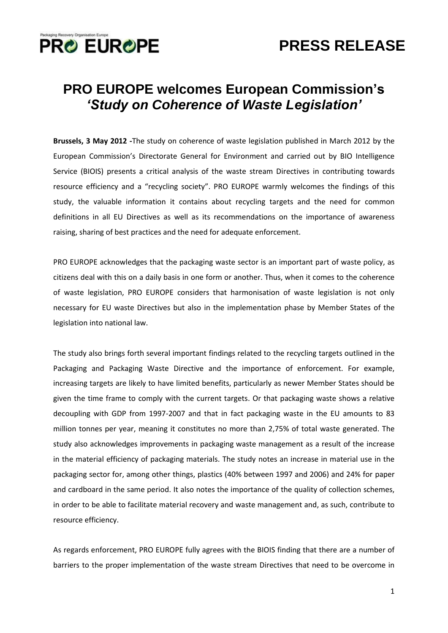

## **PRESS RELEASE**

### **PRO EUROPE welcomes European Commission's** *'Study on Coherence of Waste Legislation'*

**Brussels, 3 May 2012 -**The study on coherence of waste legislation published in March 2012 by the European Commission's Directorate General for Environment and carried out by BIO Intelligence Service (BIOIS) presents a critical analysis of the waste stream Directives in contributing towards resource efficiency and a "recycling society". PRO EUROPE warmly welcomes the findings of this study, the valuable information it contains about recycling targets and the need for common definitions in all EU Directives as well as its recommendations on the importance of awareness raising, sharing of best practices and the need for adequate enforcement.

PRO EUROPE acknowledges that the packaging waste sector is an important part of waste policy, as citizens deal with this on a daily basis in one form or another. Thus, when it comes to the coherence of waste legislation, PRO EUROPE considers that harmonisation of waste legislation is not only necessary for EU waste Directives but also in the implementation phase by Member States of the legislation into national law.

The study also brings forth several important findings related to the recycling targets outlined in the Packaging and Packaging Waste Directive and the importance of enforcement. For example, increasing targets are likely to have limited benefits, particularly as newer Member States should be given the time frame to comply with the current targets. Or that packaging waste shows a relative decoupling with GDP from 1997-2007 and that in fact packaging waste in the EU amounts to 83 million tonnes per year, meaning it constitutes no more than 2,75% of total waste generated. The study also acknowledges improvements in packaging waste management as a result of the increase in the material efficiency of packaging materials. The study notes an increase in material use in the packaging sector for, among other things, plastics (40% between 1997 and 2006) and 24% for paper and cardboard in the same period. It also notes the importance of the quality of collection schemes, in order to be able to facilitate material recovery and waste management and, as such, contribute to resource efficiency.

As regards enforcement, PRO EUROPE fully agrees with the BIOIS finding that there are a number of barriers to the proper implementation of the waste stream Directives that need to be overcome in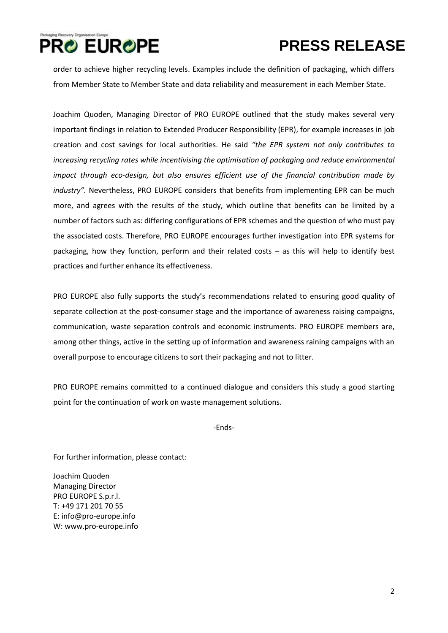

# **PRO EUROPE**

# **PRESS RELEASE**

order to achieve higher recycling levels. Examples include the definition of packaging, which differs from Member State to Member State and data reliability and measurement in each Member State.

Joachim Quoden, Managing Director of PRO EUROPE outlined that the study makes several very important findings in relation to Extended Producer Responsibility (EPR), for example increases in job creation and cost savings for local authorities. He said *"the EPR system not only contributes to increasing recycling rates while incentivising the optimisation of packaging and reduce environmental impact through eco-design, but also ensures efficient use of the financial contribution made by industry".* Nevertheless, PRO EUROPE considers that benefits from implementing EPR can be much more, and agrees with the results of the study, which outline that benefits can be limited by a number of factors such as: differing configurations of EPR schemes and the question of who must pay the associated costs. Therefore, PRO EUROPE encourages further investigation into EPR systems for packaging, how they function, perform and their related costs – as this will help to identify best practices and further enhance its effectiveness.

PRO EUROPE also fully supports the study's recommendations related to ensuring good quality of separate collection at the post-consumer stage and the importance of awareness raising campaigns, communication, waste separation controls and economic instruments. PRO EUROPE members are, among other things, active in the setting up of information and awareness raining campaigns with an overall purpose to encourage citizens to sort their packaging and not to litter.

PRO EUROPE remains committed to a continued dialogue and considers this study a good starting point for the continuation of work on waste management solutions.

-Ends-

For further information, please contact:

Joachim Quoden Managing Director PRO EUROPE S.p.r.l. T: +49 171 201 70 55 E[: info@pro-europe.info](mailto:info@pro-europe.info) W: [www.pro-europe.info](http://www.pro-europe.info/)